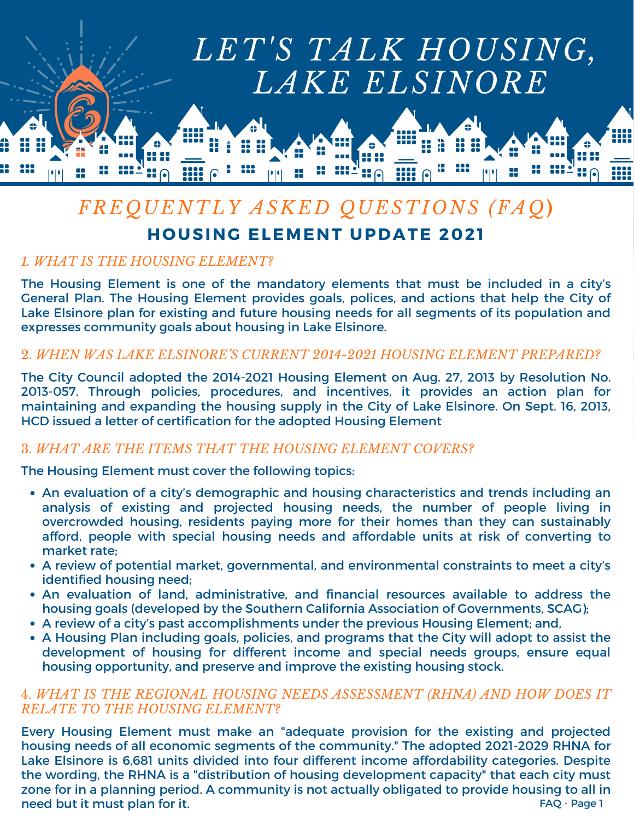

# *FREQUENTLY ASKED QUESTIONS (FAQ***) HOUSING ELEMENT UPDATE 2021**

## *1. WHAT IS THE HOUSING ELEMENT?*

The Housing Element is one of the mandatory elements that must be included in a city's General Plan. The Housing Element provides goals, polices, and actions that help the City of Lake Elsinore plan for existing and future housing needs for all segments of its population and expresses community goals about housing in Lake Elsinore.

### 2. *WHEN WAS LAKE ELSINORE'S CURRENT 2014-2021 HOUSING ELEMENT PREPARED?*

The City Council adopted the 2014-2021 Housing Element on Aug. 27, 2013 by Resolution No. 2013-057. Through policies, procedures, and incentives, it provides an action plan for maintaining and expanding the housing supply in the City of Lake Elsinore. On Sept. 16, 2013, HCD issued a letter of certification for the adopted Housing Element

### 3. *WHAT ARE THE ITEMS THAT THE HOUSING ELEMENT COVERS?*

The Housing Element must cover the following topics:

- An evaluation of a city's demographic and housing characteristics and trends including an analysis of existing and projected housing needs, the number of people living in overcrowded housing, residents paying more for their homes than they can sustainably afford, people with special housing needs and affordable units at risk of converting to market rate;
- A review of potential market, governmental, and environmental constraints to meet a city's identified housing need;
- An evaluation of land, administrative, and financial resources available to address the housing goals (developed by the Southern California Association of Governments, SCAG);
- A review of a city's past accomplishments under the previous Housing Element; and,
- A Housing Plan including goals, policies, and programs that the City will adopt to assist the development of housing for different income and special needs groups, ensure equal housing opportunity, and preserve and improve the existing housing stock.

## 4. *WHAT IS THE REGIONAL HOUSING NEEDS ASSESSMENT (RHNA) AND HOW DOES IT RELATE TO THE HOUSING ELEMENT?*

Every Housing Element must make an "adequate provision for the existing and projected housing needs of all economic segments of the community." The adopted 2021-2029 RHNA for Lake Elsinore is 6,681 units divided into four different income affordability categories. Despite the wording, the RHNA is a "distribution of housing development capacity" that each city must zone for in a planning period. A community is not actually obligated to provide housing to all in need but it must plan for it. The same state of the state of the state of the state of the state of the state o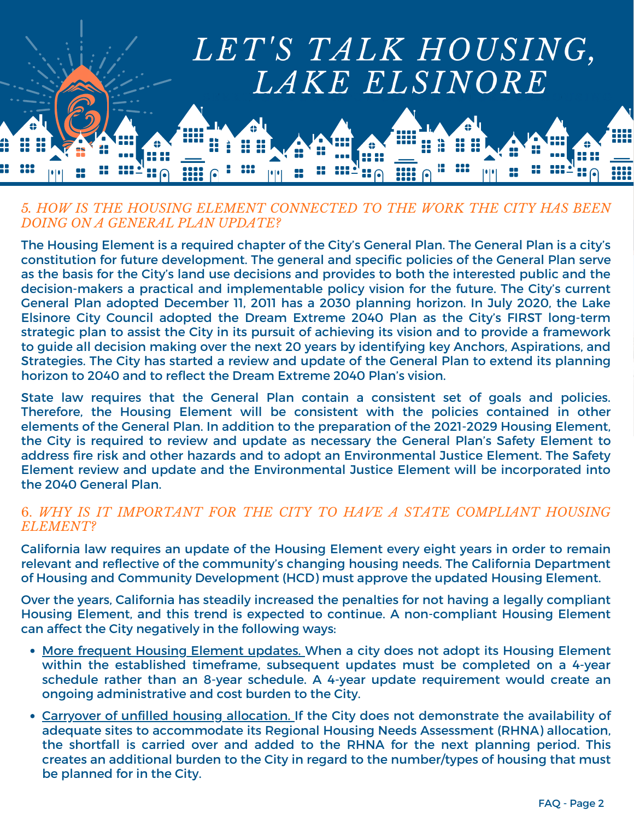

### *5. HOW IS THE HOUSING ELEMENT CONNECTED TO THE WORK THE CITY HAS BEEN DOING ON A GENERAL PLAN UPDATE?*

The Housing Element is a required chapter of the City's General Plan. The General Plan is a city's constitution for future development. The general and specific policies of the General Plan serve as the basis for the City's land use decisions and provides to both the interested public and the decision-makers a practical and implementable policy vision for the future. The City's current General Plan adopted December 11, 2011 has a 2030 planning horizon. In July 2020, the Lake Elsinore City Council adopted the Dream Extreme 2040 Plan as the City's FIRST long-term strategic plan to assist the City in its pursuit of achieving its vision and to provide a framework to guide all decision making over the next 20 years by identifying key Anchors, Aspirations, and Strategies. The City has started a review and update of the General Plan to extend its planning horizon to 2040 and to reflect the Dream Extreme 2040 Plan's vision.

State law requires that the General Plan contain a consistent set of goals and policies. Therefore, the Housing Element will be consistent with the policies contained in other elements of the General Plan. In addition to the preparation of the 2021-2029 Housing Element, the City is required to review and update as necessary the General Plan's Safety Element to address fire risk and other hazards and to adopt an Environmental Justice Element. The Safety Element review and update and the Environmental Justice Element will be incorporated into the 2040 General Plan.

## 6. *WHY IS IT IMPORTANT FOR THE CITY TO HAVE A STATE COMPLIANT HOUSING ELEMENT?*

California law requires an update of the Housing Element every eight years in order to remain relevant and reflective of the community's changing housing needs. The California Department of Housing and Community Development (HCD) must approve the updated Housing Element.

Over the years, California has steadily increased the penalties for not having a legally compliant Housing Element, and this trend is expected to continue. A non-compliant Housing Element can affect the City negatively in the following ways:

- More frequent Housing Element updates. When a city does not adopt its Housing Element within the established timeframe, subsequent updates must be completed on a 4-year schedule rather than an 8-year schedule. A 4-year update requirement would create an ongoing administrative and cost burden to the City.
- Carryover of unfilled housing allocation. If the City does not demonstrate the availability of adequate sites to accommodate its Regional Housing Needs Assessment (RHNA) allocation, the shortfall is carried over and added to the RHNA for the next planning period. This creates an additional burden to the City in regard to the number/types of housing that must be planned for in the City.